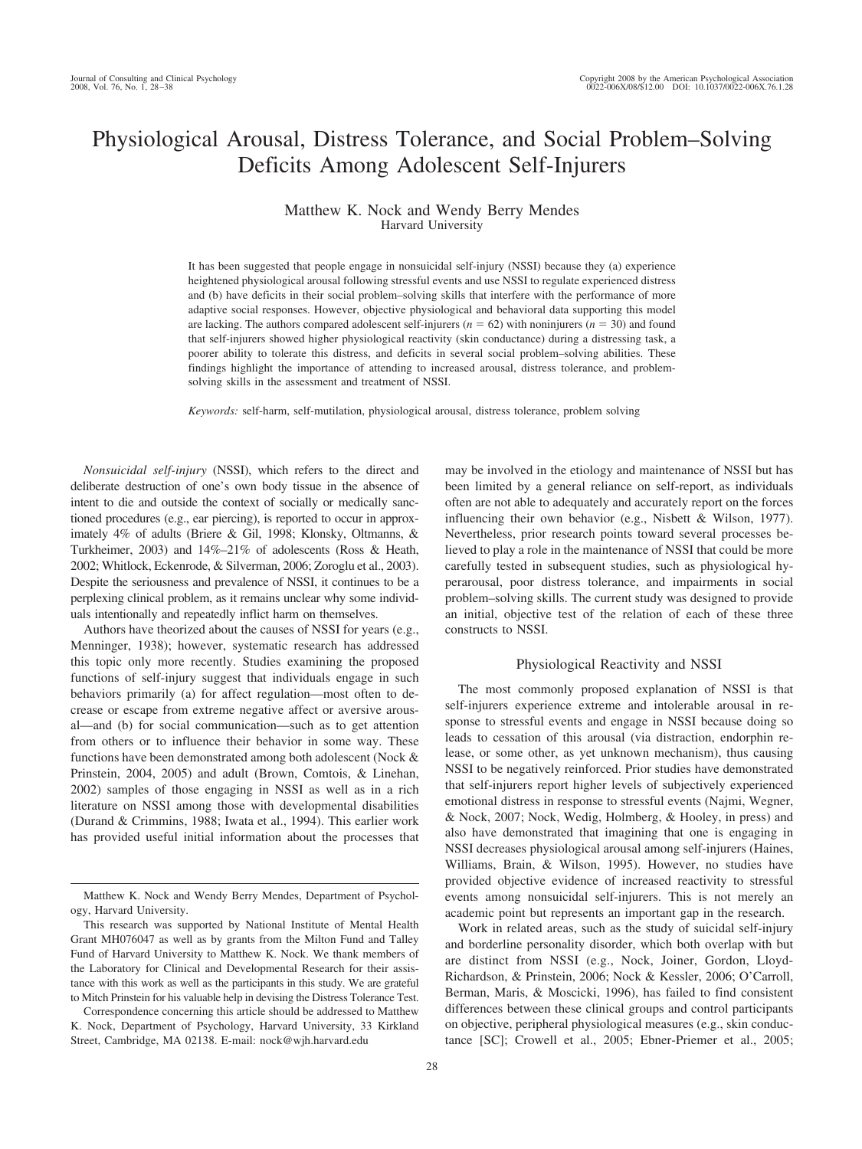# Physiological Arousal, Distress Tolerance, and Social Problem–Solving Deficits Among Adolescent Self-Injurers

# Matthew K. Nock and Wendy Berry Mendes Harvard University

It has been suggested that people engage in nonsuicidal self-injury (NSSI) because they (a) experience heightened physiological arousal following stressful events and use NSSI to regulate experienced distress and (b) have deficits in their social problem–solving skills that interfere with the performance of more adaptive social responses. However, objective physiological and behavioral data supporting this model are lacking. The authors compared adolescent self-injurers ( $n = 62$ ) with noninjurers ( $n = 30$ ) and found that self-injurers showed higher physiological reactivity (skin conductance) during a distressing task, a poorer ability to tolerate this distress, and deficits in several social problem–solving abilities. These findings highlight the importance of attending to increased arousal, distress tolerance, and problemsolving skills in the assessment and treatment of NSSI.

*Keywords:* self-harm, self-mutilation, physiological arousal, distress tolerance, problem solving

*Nonsuicidal self-injury* (NSSI), which refers to the direct and deliberate destruction of one's own body tissue in the absence of intent to die and outside the context of socially or medically sanctioned procedures (e.g., ear piercing), is reported to occur in approximately 4% of adults (Briere & Gil, 1998; Klonsky, Oltmanns, & Turkheimer, 2003) and 14%–21% of adolescents (Ross & Heath, 2002; Whitlock, Eckenrode, & Silverman, 2006; Zoroglu et al., 2003). Despite the seriousness and prevalence of NSSI, it continues to be a perplexing clinical problem, as it remains unclear why some individuals intentionally and repeatedly inflict harm on themselves.

Authors have theorized about the causes of NSSI for years (e.g., Menninger, 1938); however, systematic research has addressed this topic only more recently. Studies examining the proposed functions of self-injury suggest that individuals engage in such behaviors primarily (a) for affect regulation—most often to decrease or escape from extreme negative affect or aversive arousal—and (b) for social communication—such as to get attention from others or to influence their behavior in some way. These functions have been demonstrated among both adolescent (Nock & Prinstein, 2004, 2005) and adult (Brown, Comtois, & Linehan, 2002) samples of those engaging in NSSI as well as in a rich literature on NSSI among those with developmental disabilities (Durand & Crimmins, 1988; Iwata et al., 1994). This earlier work has provided useful initial information about the processes that

Correspondence concerning this article should be addressed to Matthew K. Nock, Department of Psychology, Harvard University, 33 Kirkland Street, Cambridge, MA 02138. E-mail: nock@wjh.harvard.edu

may be involved in the etiology and maintenance of NSSI but has been limited by a general reliance on self-report, as individuals often are not able to adequately and accurately report on the forces influencing their own behavior (e.g., Nisbett & Wilson, 1977). Nevertheless, prior research points toward several processes believed to play a role in the maintenance of NSSI that could be more carefully tested in subsequent studies, such as physiological hyperarousal, poor distress tolerance, and impairments in social problem–solving skills. The current study was designed to provide an initial, objective test of the relation of each of these three constructs to NSSI.

## Physiological Reactivity and NSSI

The most commonly proposed explanation of NSSI is that self-injurers experience extreme and intolerable arousal in response to stressful events and engage in NSSI because doing so leads to cessation of this arousal (via distraction, endorphin release, or some other, as yet unknown mechanism), thus causing NSSI to be negatively reinforced. Prior studies have demonstrated that self-injurers report higher levels of subjectively experienced emotional distress in response to stressful events (Najmi, Wegner, & Nock, 2007; Nock, Wedig, Holmberg, & Hooley, in press) and also have demonstrated that imagining that one is engaging in NSSI decreases physiological arousal among self-injurers (Haines, Williams, Brain, & Wilson, 1995). However, no studies have provided objective evidence of increased reactivity to stressful events among nonsuicidal self-injurers. This is not merely an academic point but represents an important gap in the research.

Work in related areas, such as the study of suicidal self-injury and borderline personality disorder, which both overlap with but are distinct from NSSI (e.g., Nock, Joiner, Gordon, Lloyd-Richardson, & Prinstein, 2006; Nock & Kessler, 2006; O'Carroll, Berman, Maris, & Moscicki, 1996), has failed to find consistent differences between these clinical groups and control participants on objective, peripheral physiological measures (e.g., skin conductance [SC]; Crowell et al., 2005; Ebner-Priemer et al., 2005;

Matthew K. Nock and Wendy Berry Mendes, Department of Psychology, Harvard University.

This research was supported by National Institute of Mental Health Grant MH076047 as well as by grants from the Milton Fund and Talley Fund of Harvard University to Matthew K. Nock. We thank members of the Laboratory for Clinical and Developmental Research for their assistance with this work as well as the participants in this study. We are grateful to Mitch Prinstein for his valuable help in devising the Distress Tolerance Test.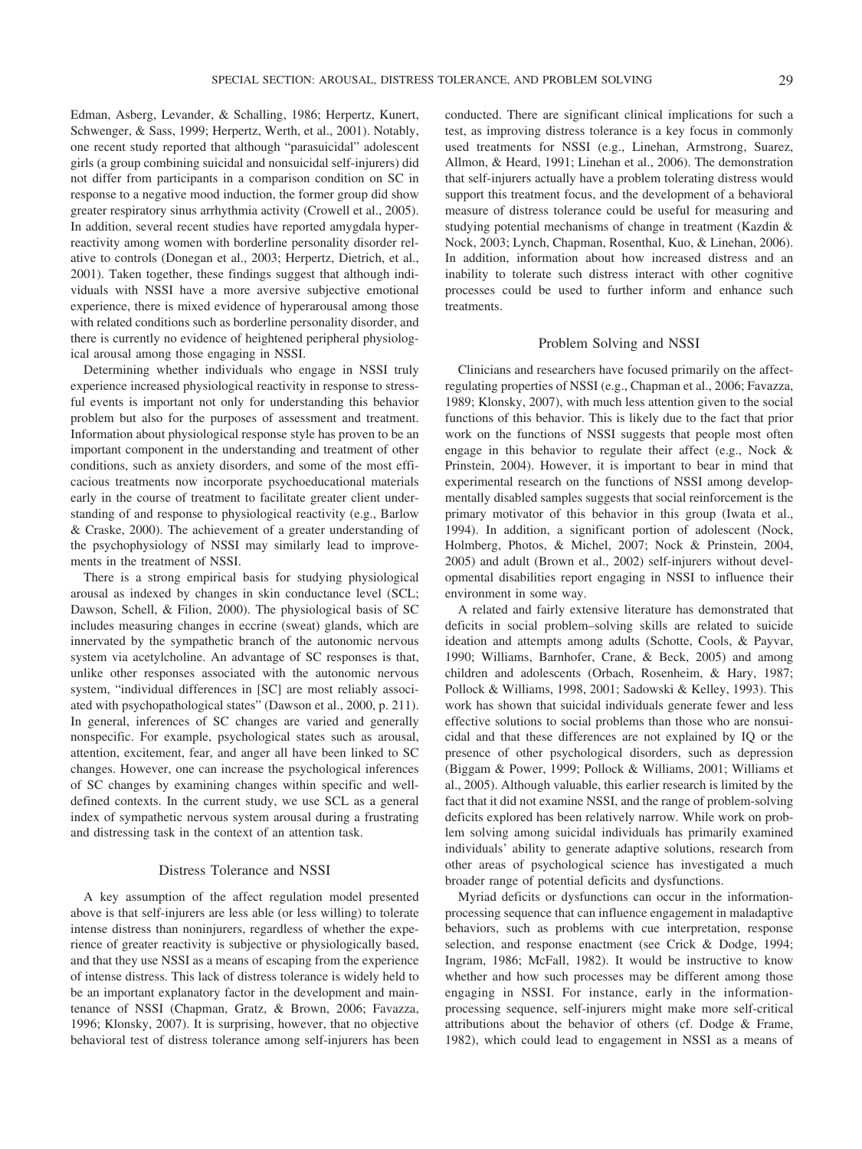Edman, Asberg, Levander, & Schalling, 1986; Herpertz, Kunert, Schwenger, & Sass, 1999; Herpertz, Werth, et al., 2001). Notably, one recent study reported that although "parasuicidal" adolescent girls (a group combining suicidal and nonsuicidal self-injurers) did not differ from participants in a comparison condition on SC in response to a negative mood induction, the former group did show greater respiratory sinus arrhythmia activity (Crowell et al., 2005). In addition, several recent studies have reported amygdala hyperreactivity among women with borderline personality disorder relative to controls (Donegan et al., 2003; Herpertz, Dietrich, et al., 2001). Taken together, these findings suggest that although individuals with NSSI have a more aversive subjective emotional experience, there is mixed evidence of hyperarousal among those with related conditions such as borderline personality disorder, and there is currently no evidence of heightened peripheral physiological arousal among those engaging in NSSI.

Determining whether individuals who engage in NSSI truly experience increased physiological reactivity in response to stressful events is important not only for understanding this behavior problem but also for the purposes of assessment and treatment. Information about physiological response style has proven to be an important component in the understanding and treatment of other conditions, such as anxiety disorders, and some of the most efficacious treatments now incorporate psychoeducational materials early in the course of treatment to facilitate greater client understanding of and response to physiological reactivity (e.g., Barlow & Craske, 2000). The achievement of a greater understanding of the psychophysiology of NSSI may similarly lead to improvements in the treatment of NSSI.

There is a strong empirical basis for studying physiological arousal as indexed by changes in skin conductance level (SCL; Dawson, Schell, & Filion, 2000). The physiological basis of SC includes measuring changes in eccrine (sweat) glands, which are innervated by the sympathetic branch of the autonomic nervous system via acetylcholine. An advantage of SC responses is that, unlike other responses associated with the autonomic nervous system, "individual differences in [SC] are most reliably associated with psychopathological states" (Dawson et al., 2000, p. 211). In general, inferences of SC changes are varied and generally nonspecific. For example, psychological states such as arousal, attention, excitement, fear, and anger all have been linked to SC changes. However, one can increase the psychological inferences of SC changes by examining changes within specific and welldefined contexts. In the current study, we use SCL as a general index of sympathetic nervous system arousal during a frustrating and distressing task in the context of an attention task.

# Distress Tolerance and NSSI

A key assumption of the affect regulation model presented above is that self-injurers are less able (or less willing) to tolerate intense distress than noninjurers, regardless of whether the experience of greater reactivity is subjective or physiologically based, and that they use NSSI as a means of escaping from the experience of intense distress. This lack of distress tolerance is widely held to be an important explanatory factor in the development and maintenance of NSSI (Chapman, Gratz, & Brown, 2006; Favazza, 1996; Klonsky, 2007). It is surprising, however, that no objective behavioral test of distress tolerance among self-injurers has been conducted. There are significant clinical implications for such a test, as improving distress tolerance is a key focus in commonly used treatments for NSSI (e.g., Linehan, Armstrong, Suarez, Allmon, & Heard, 1991; Linehan et al., 2006). The demonstration that self-injurers actually have a problem tolerating distress would support this treatment focus, and the development of a behavioral measure of distress tolerance could be useful for measuring and studying potential mechanisms of change in treatment (Kazdin & Nock, 2003; Lynch, Chapman, Rosenthal, Kuo, & Linehan, 2006). In addition, information about how increased distress and an inability to tolerate such distress interact with other cognitive processes could be used to further inform and enhance such treatments.

# Problem Solving and NSSI

Clinicians and researchers have focused primarily on the affectregulating properties of NSSI (e.g., Chapman et al., 2006; Favazza, 1989; Klonsky, 2007), with much less attention given to the social functions of this behavior. This is likely due to the fact that prior work on the functions of NSSI suggests that people most often engage in this behavior to regulate their affect (e.g., Nock & Prinstein, 2004). However, it is important to bear in mind that experimental research on the functions of NSSI among developmentally disabled samples suggests that social reinforcement is the primary motivator of this behavior in this group (Iwata et al., 1994). In addition, a significant portion of adolescent (Nock, Holmberg, Photos, & Michel, 2007; Nock & Prinstein, 2004, 2005) and adult (Brown et al., 2002) self-injurers without developmental disabilities report engaging in NSSI to influence their environment in some way.

A related and fairly extensive literature has demonstrated that deficits in social problem–solving skills are related to suicide ideation and attempts among adults (Schotte, Cools, & Payvar, 1990; Williams, Barnhofer, Crane, & Beck, 2005) and among children and adolescents (Orbach, Rosenheim, & Hary, 1987; Pollock & Williams, 1998, 2001; Sadowski & Kelley, 1993). This work has shown that suicidal individuals generate fewer and less effective solutions to social problems than those who are nonsuicidal and that these differences are not explained by IQ or the presence of other psychological disorders, such as depression (Biggam & Power, 1999; Pollock & Williams, 2001; Williams et al., 2005). Although valuable, this earlier research is limited by the fact that it did not examine NSSI, and the range of problem-solving deficits explored has been relatively narrow. While work on problem solving among suicidal individuals has primarily examined individuals' ability to generate adaptive solutions, research from other areas of psychological science has investigated a much broader range of potential deficits and dysfunctions.

Myriad deficits or dysfunctions can occur in the informationprocessing sequence that can influence engagement in maladaptive behaviors, such as problems with cue interpretation, response selection, and response enactment (see Crick & Dodge, 1994; Ingram, 1986; McFall, 1982). It would be instructive to know whether and how such processes may be different among those engaging in NSSI. For instance, early in the informationprocessing sequence, self-injurers might make more self-critical attributions about the behavior of others (cf. Dodge & Frame, 1982), which could lead to engagement in NSSI as a means of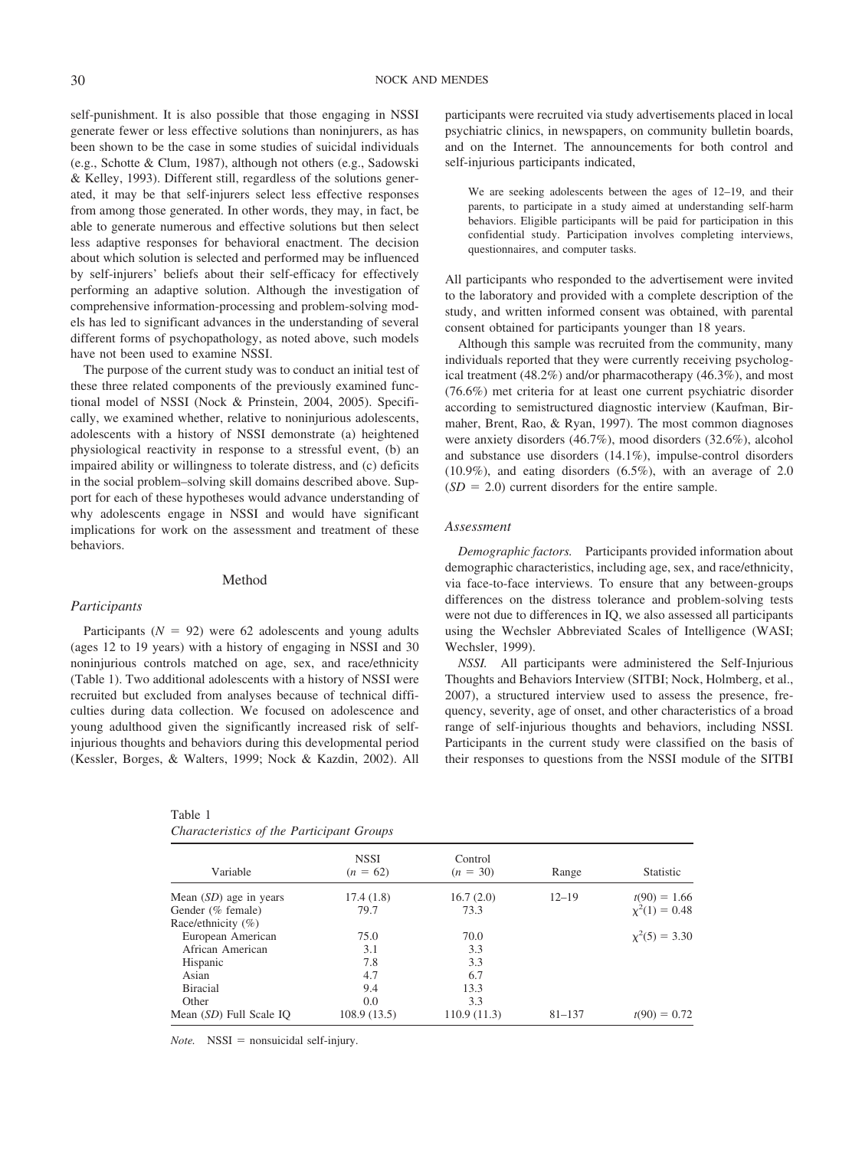self-punishment. It is also possible that those engaging in NSSI generate fewer or less effective solutions than noninjurers, as has been shown to be the case in some studies of suicidal individuals (e.g., Schotte & Clum, 1987), although not others (e.g., Sadowski & Kelley, 1993). Different still, regardless of the solutions generated, it may be that self-injurers select less effective responses from among those generated. In other words, they may, in fact, be able to generate numerous and effective solutions but then select less adaptive responses for behavioral enactment. The decision about which solution is selected and performed may be influenced by self-injurers' beliefs about their self-efficacy for effectively performing an adaptive solution. Although the investigation of comprehensive information-processing and problem-solving models has led to significant advances in the understanding of several different forms of psychopathology, as noted above, such models have not been used to examine NSSI.

The purpose of the current study was to conduct an initial test of these three related components of the previously examined functional model of NSSI (Nock & Prinstein, 2004, 2005). Specifically, we examined whether, relative to noninjurious adolescents, adolescents with a history of NSSI demonstrate (a) heightened physiological reactivity in response to a stressful event, (b) an impaired ability or willingness to tolerate distress, and (c) deficits in the social problem–solving skill domains described above. Support for each of these hypotheses would advance understanding of why adolescents engage in NSSI and would have significant implications for work on the assessment and treatment of these behaviors.

# Method

# *Participants*

Participants  $(N = 92)$  were 62 adolescents and young adults (ages 12 to 19 years) with a history of engaging in NSSI and 30 noninjurious controls matched on age, sex, and race/ethnicity (Table 1). Two additional adolescents with a history of NSSI were recruited but excluded from analyses because of technical difficulties during data collection. We focused on adolescence and young adulthood given the significantly increased risk of selfinjurious thoughts and behaviors during this developmental period (Kessler, Borges, & Walters, 1999; Nock & Kazdin, 2002). All

| Table 1                                   |  |  |
|-------------------------------------------|--|--|
| Characteristics of the Participant Groups |  |  |

participants were recruited via study advertisements placed in local psychiatric clinics, in newspapers, on community bulletin boards, and on the Internet. The announcements for both control and self-injurious participants indicated,

We are seeking adolescents between the ages of 12–19, and their parents, to participate in a study aimed at understanding self-harm behaviors. Eligible participants will be paid for participation in this confidential study. Participation involves completing interviews, questionnaires, and computer tasks.

All participants who responded to the advertisement were invited to the laboratory and provided with a complete description of the study, and written informed consent was obtained, with parental consent obtained for participants younger than 18 years.

Although this sample was recruited from the community, many individuals reported that they were currently receiving psychological treatment (48.2%) and/or pharmacotherapy (46.3%), and most (76.6%) met criteria for at least one current psychiatric disorder according to semistructured diagnostic interview (Kaufman, Birmaher, Brent, Rao, & Ryan, 1997). The most common diagnoses were anxiety disorders (46.7%), mood disorders (32.6%), alcohol and substance use disorders (14.1%), impulse-control disorders (10.9%), and eating disorders (6.5%), with an average of 2.0  $(SD = 2.0)$  current disorders for the entire sample.

#### *Assessment*

*Demographic factors.* Participants provided information about demographic characteristics, including age, sex, and race/ethnicity, via face-to-face interviews. To ensure that any between-groups differences on the distress tolerance and problem-solving tests were not due to differences in IQ, we also assessed all participants using the Wechsler Abbreviated Scales of Intelligence (WASI; Wechsler, 1999).

*NSSI.* All participants were administered the Self-Injurious Thoughts and Behaviors Interview (SITBI; Nock, Holmberg, et al., 2007), a structured interview used to assess the presence, frequency, severity, age of onset, and other characteristics of a broad range of self-injurious thoughts and behaviors, including NSSI. Participants in the current study were classified on the basis of their responses to questions from the NSSI module of the SITBI

| Variable                       | <b>NSSI</b><br>$(n = 62)$ | Control<br>$(n = 30)$ | Range      | Statistic          |
|--------------------------------|---------------------------|-----------------------|------------|--------------------|
| Mean $(SD)$ age in years       | 17.4(1.8)                 | 16.7(2.0)             | $12 - 19$  | $t(90) = 1.66$     |
| Gender (% female)              | 79.7                      | 73.3                  |            | $\chi^2(1) = 0.48$ |
| Race/ethnicity $(\% )$         |                           |                       |            |                    |
| European American              | 75.0                      | 70.0                  |            | $x^2(5) = 3.30$    |
| African American               | 3.1                       | 3.3                   |            |                    |
| Hispanic                       | 7.8                       | 3.3                   |            |                    |
| Asian                          | 4.7                       | 6.7                   |            |                    |
| <b>Biracial</b>                | 9.4                       | 13.3                  |            |                    |
| Other                          | 0.0                       | 3.3                   |            |                    |
| Mean <i>(SD)</i> Full Scale IO | 108.9(13.5)               | 110.9(11.3)           | $81 - 137$ | $t(90) = 0.72$     |

 $Note.$  NSSI = nonsuicidal self-injury.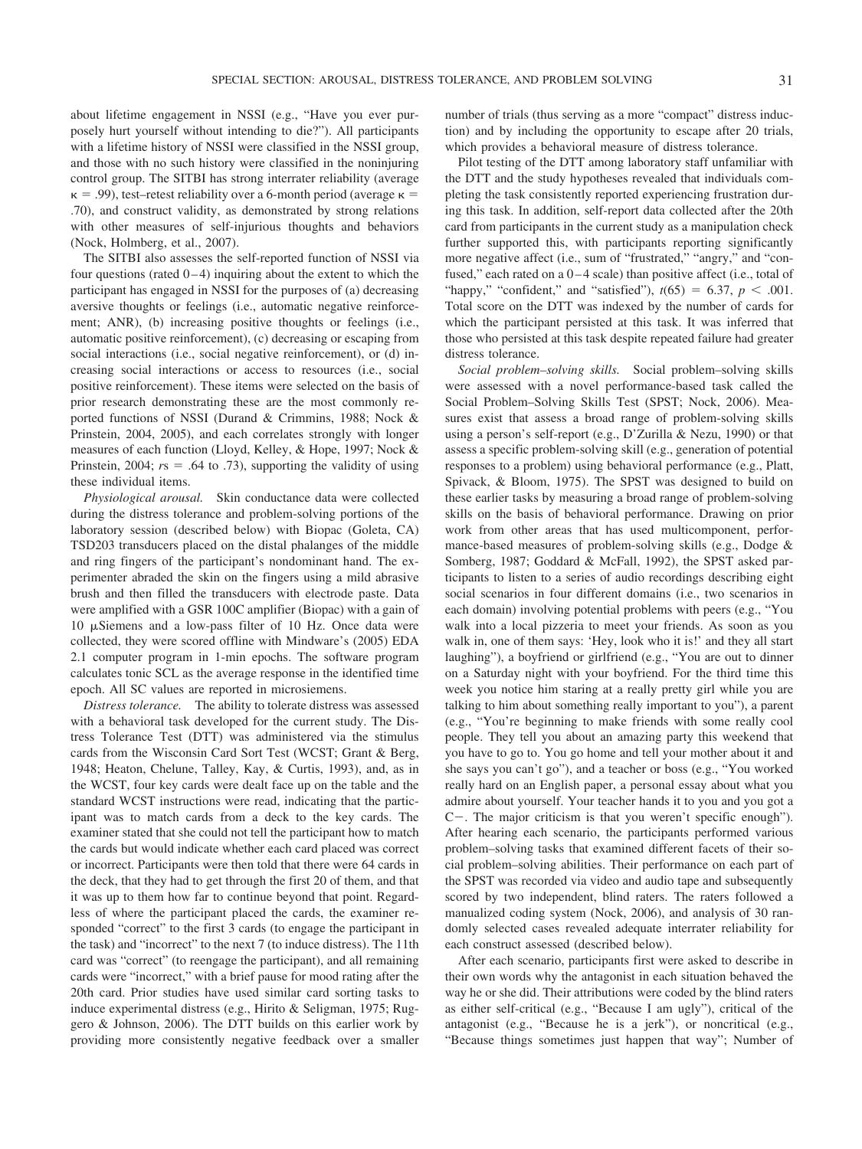about lifetime engagement in NSSI (e.g., "Have you ever purposely hurt yourself without intending to die?"). All participants with a lifetime history of NSSI were classified in the NSSI group, and those with no such history were classified in the noninjuring control group. The SITBI has strong interrater reliability (average  $\kappa = .99$ ), test–retest reliability over a 6-month period (average  $\kappa =$ .70), and construct validity, as demonstrated by strong relations with other measures of self-injurious thoughts and behaviors (Nock, Holmberg, et al., 2007).

The SITBI also assesses the self-reported function of NSSI via four questions (rated  $0-4$ ) inquiring about the extent to which the participant has engaged in NSSI for the purposes of (a) decreasing aversive thoughts or feelings (i.e., automatic negative reinforcement; ANR), (b) increasing positive thoughts or feelings (i.e., automatic positive reinforcement), (c) decreasing or escaping from social interactions (i.e., social negative reinforcement), or (d) increasing social interactions or access to resources (i.e., social positive reinforcement). These items were selected on the basis of prior research demonstrating these are the most commonly reported functions of NSSI (Durand & Crimmins, 1988; Nock & Prinstein, 2004, 2005), and each correlates strongly with longer measures of each function (Lloyd, Kelley, & Hope, 1997; Nock & Prinstein, 2004;  $rs = .64$  to .73), supporting the validity of using these individual items.

*Physiological arousal.* Skin conductance data were collected during the distress tolerance and problem-solving portions of the laboratory session (described below) with Biopac (Goleta, CA) TSD203 transducers placed on the distal phalanges of the middle and ring fingers of the participant's nondominant hand. The experimenter abraded the skin on the fingers using a mild abrasive brush and then filled the transducers with electrode paste. Data were amplified with a GSR 100C amplifier (Biopac) with a gain of  $10 \mu$ Siemens and a low-pass filter of  $10$  Hz. Once data were collected, they were scored offline with Mindware's (2005) EDA 2.1 computer program in 1-min epochs. The software program calculates tonic SCL as the average response in the identified time epoch. All SC values are reported in microsiemens.

*Distress tolerance.* The ability to tolerate distress was assessed with a behavioral task developed for the current study. The Distress Tolerance Test (DTT) was administered via the stimulus cards from the Wisconsin Card Sort Test (WCST; Grant & Berg, 1948; Heaton, Chelune, Talley, Kay, & Curtis, 1993), and, as in the WCST, four key cards were dealt face up on the table and the standard WCST instructions were read, indicating that the participant was to match cards from a deck to the key cards. The examiner stated that she could not tell the participant how to match the cards but would indicate whether each card placed was correct or incorrect. Participants were then told that there were 64 cards in the deck, that they had to get through the first 20 of them, and that it was up to them how far to continue beyond that point. Regardless of where the participant placed the cards, the examiner responded "correct" to the first 3 cards (to engage the participant in the task) and "incorrect" to the next 7 (to induce distress). The 11th card was "correct" (to reengage the participant), and all remaining cards were "incorrect," with a brief pause for mood rating after the 20th card. Prior studies have used similar card sorting tasks to induce experimental distress (e.g., Hirito & Seligman, 1975; Ruggero & Johnson, 2006). The DTT builds on this earlier work by providing more consistently negative feedback over a smaller

number of trials (thus serving as a more "compact" distress induction) and by including the opportunity to escape after 20 trials, which provides a behavioral measure of distress tolerance.

Pilot testing of the DTT among laboratory staff unfamiliar with the DTT and the study hypotheses revealed that individuals completing the task consistently reported experiencing frustration during this task. In addition, self-report data collected after the 20th card from participants in the current study as a manipulation check further supported this, with participants reporting significantly more negative affect (i.e., sum of "frustrated," "angry," and "confused," each rated on a  $0-4$  scale) than positive affect (i.e., total of "happy," "confident," and "satisfied"),  $t(65) = 6.37$ ,  $p < .001$ . Total score on the DTT was indexed by the number of cards for which the participant persisted at this task. It was inferred that those who persisted at this task despite repeated failure had greater distress tolerance.

*Social problem–solving skills.* Social problem–solving skills were assessed with a novel performance-based task called the Social Problem–Solving Skills Test (SPST; Nock, 2006). Measures exist that assess a broad range of problem-solving skills using a person's self-report (e.g., D'Zurilla & Nezu, 1990) or that assess a specific problem-solving skill (e.g., generation of potential responses to a problem) using behavioral performance (e.g., Platt, Spivack, & Bloom, 1975). The SPST was designed to build on these earlier tasks by measuring a broad range of problem-solving skills on the basis of behavioral performance. Drawing on prior work from other areas that has used multicomponent, performance-based measures of problem-solving skills (e.g., Dodge & Somberg, 1987; Goddard & McFall, 1992), the SPST asked participants to listen to a series of audio recordings describing eight social scenarios in four different domains (i.e., two scenarios in each domain) involving potential problems with peers (e.g., "You walk into a local pizzeria to meet your friends. As soon as you walk in, one of them says: 'Hey, look who it is!' and they all start laughing"), a boyfriend or girlfriend (e.g., "You are out to dinner on a Saturday night with your boyfriend. For the third time this week you notice him staring at a really pretty girl while you are talking to him about something really important to you"), a parent (e.g., "You're beginning to make friends with some really cool people. They tell you about an amazing party this weekend that you have to go to. You go home and tell your mother about it and she says you can't go"), and a teacher or boss (e.g., "You worked really hard on an English paper, a personal essay about what you admire about yourself. Your teacher hands it to you and you got a C-. The major criticism is that you weren't specific enough"). After hearing each scenario, the participants performed various problem–solving tasks that examined different facets of their social problem–solving abilities. Their performance on each part of the SPST was recorded via video and audio tape and subsequently scored by two independent, blind raters. The raters followed a manualized coding system (Nock, 2006), and analysis of 30 randomly selected cases revealed adequate interrater reliability for each construct assessed (described below).

After each scenario, participants first were asked to describe in their own words why the antagonist in each situation behaved the way he or she did. Their attributions were coded by the blind raters as either self-critical (e.g., "Because I am ugly"), critical of the antagonist (e.g., "Because he is a jerk"), or noncritical (e.g., "Because things sometimes just happen that way"; Number of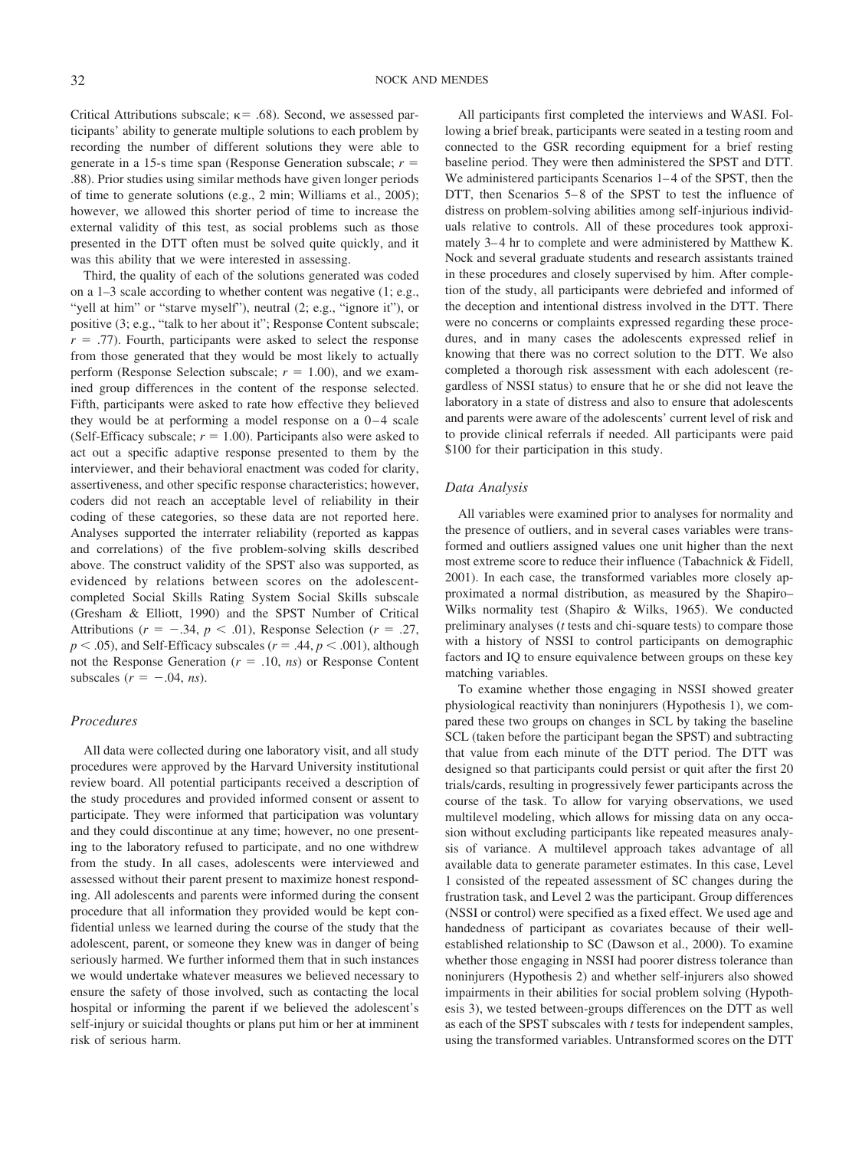Critical Attributions subscale;  $\kappa$  = .68). Second, we assessed participants' ability to generate multiple solutions to each problem by recording the number of different solutions they were able to generate in a 15-s time span (Response Generation subscale; *r* .88). Prior studies using similar methods have given longer periods of time to generate solutions (e.g., 2 min; Williams et al., 2005); however, we allowed this shorter period of time to increase the external validity of this test, as social problems such as those presented in the DTT often must be solved quite quickly, and it was this ability that we were interested in assessing.

Third, the quality of each of the solutions generated was coded on a 1–3 scale according to whether content was negative (1; e.g., "yell at him" or "starve myself"), neutral (2; e.g., "ignore it"), or positive (3; e.g., "talk to her about it"; Response Content subscale;  $r = .77$ ). Fourth, participants were asked to select the response from those generated that they would be most likely to actually perform (Response Selection subscale;  $r = 1.00$ ), and we examined group differences in the content of the response selected. Fifth, participants were asked to rate how effective they believed they would be at performing a model response on a  $0-4$  scale (Self-Efficacy subscale;  $r = 1.00$ ). Participants also were asked to act out a specific adaptive response presented to them by the interviewer, and their behavioral enactment was coded for clarity, assertiveness, and other specific response characteristics; however, coders did not reach an acceptable level of reliability in their coding of these categories, so these data are not reported here. Analyses supported the interrater reliability (reported as kappas and correlations) of the five problem-solving skills described above. The construct validity of the SPST also was supported, as evidenced by relations between scores on the adolescentcompleted Social Skills Rating System Social Skills subscale (Gresham & Elliott, 1990) and the SPST Number of Critical Attributions ( $r = -.34$ ,  $p < .01$ ), Response Selection ( $r = .27$ ,  $p < .05$ ), and Self-Efficacy subscales ( $r = .44$ ,  $p < .001$ ), although not the Response Generation  $(r = .10, ns)$  or Response Content subscales  $(r = -.04, ns)$ .

# *Procedures*

All data were collected during one laboratory visit, and all study procedures were approved by the Harvard University institutional review board. All potential participants received a description of the study procedures and provided informed consent or assent to participate. They were informed that participation was voluntary and they could discontinue at any time; however, no one presenting to the laboratory refused to participate, and no one withdrew from the study. In all cases, adolescents were interviewed and assessed without their parent present to maximize honest responding. All adolescents and parents were informed during the consent procedure that all information they provided would be kept confidential unless we learned during the course of the study that the adolescent, parent, or someone they knew was in danger of being seriously harmed. We further informed them that in such instances we would undertake whatever measures we believed necessary to ensure the safety of those involved, such as contacting the local hospital or informing the parent if we believed the adolescent's self-injury or suicidal thoughts or plans put him or her at imminent risk of serious harm.

All participants first completed the interviews and WASI. Following a brief break, participants were seated in a testing room and connected to the GSR recording equipment for a brief resting baseline period. They were then administered the SPST and DTT. We administered participants Scenarios 1–4 of the SPST, then the DTT, then Scenarios 5–8 of the SPST to test the influence of distress on problem-solving abilities among self-injurious individuals relative to controls. All of these procedures took approximately 3–4 hr to complete and were administered by Matthew K. Nock and several graduate students and research assistants trained in these procedures and closely supervised by him. After completion of the study, all participants were debriefed and informed of the deception and intentional distress involved in the DTT. There were no concerns or complaints expressed regarding these procedures, and in many cases the adolescents expressed relief in knowing that there was no correct solution to the DTT. We also completed a thorough risk assessment with each adolescent (regardless of NSSI status) to ensure that he or she did not leave the laboratory in a state of distress and also to ensure that adolescents and parents were aware of the adolescents' current level of risk and to provide clinical referrals if needed. All participants were paid \$100 for their participation in this study.

# *Data Analysis*

All variables were examined prior to analyses for normality and the presence of outliers, and in several cases variables were transformed and outliers assigned values one unit higher than the next most extreme score to reduce their influence (Tabachnick & Fidell, 2001). In each case, the transformed variables more closely approximated a normal distribution, as measured by the Shapiro– Wilks normality test (Shapiro & Wilks, 1965). We conducted preliminary analyses (*t* tests and chi-square tests) to compare those with a history of NSSI to control participants on demographic factors and IQ to ensure equivalence between groups on these key matching variables.

To examine whether those engaging in NSSI showed greater physiological reactivity than noninjurers (Hypothesis 1), we compared these two groups on changes in SCL by taking the baseline SCL (taken before the participant began the SPST) and subtracting that value from each minute of the DTT period. The DTT was designed so that participants could persist or quit after the first 20 trials/cards, resulting in progressively fewer participants across the course of the task. To allow for varying observations, we used multilevel modeling, which allows for missing data on any occasion without excluding participants like repeated measures analysis of variance. A multilevel approach takes advantage of all available data to generate parameter estimates. In this case, Level 1 consisted of the repeated assessment of SC changes during the frustration task, and Level 2 was the participant. Group differences (NSSI or control) were specified as a fixed effect. We used age and handedness of participant as covariates because of their wellestablished relationship to SC (Dawson et al., 2000). To examine whether those engaging in NSSI had poorer distress tolerance than noninjurers (Hypothesis 2) and whether self-injurers also showed impairments in their abilities for social problem solving (Hypothesis 3), we tested between-groups differences on the DTT as well as each of the SPST subscales with *t* tests for independent samples, using the transformed variables. Untransformed scores on the DTT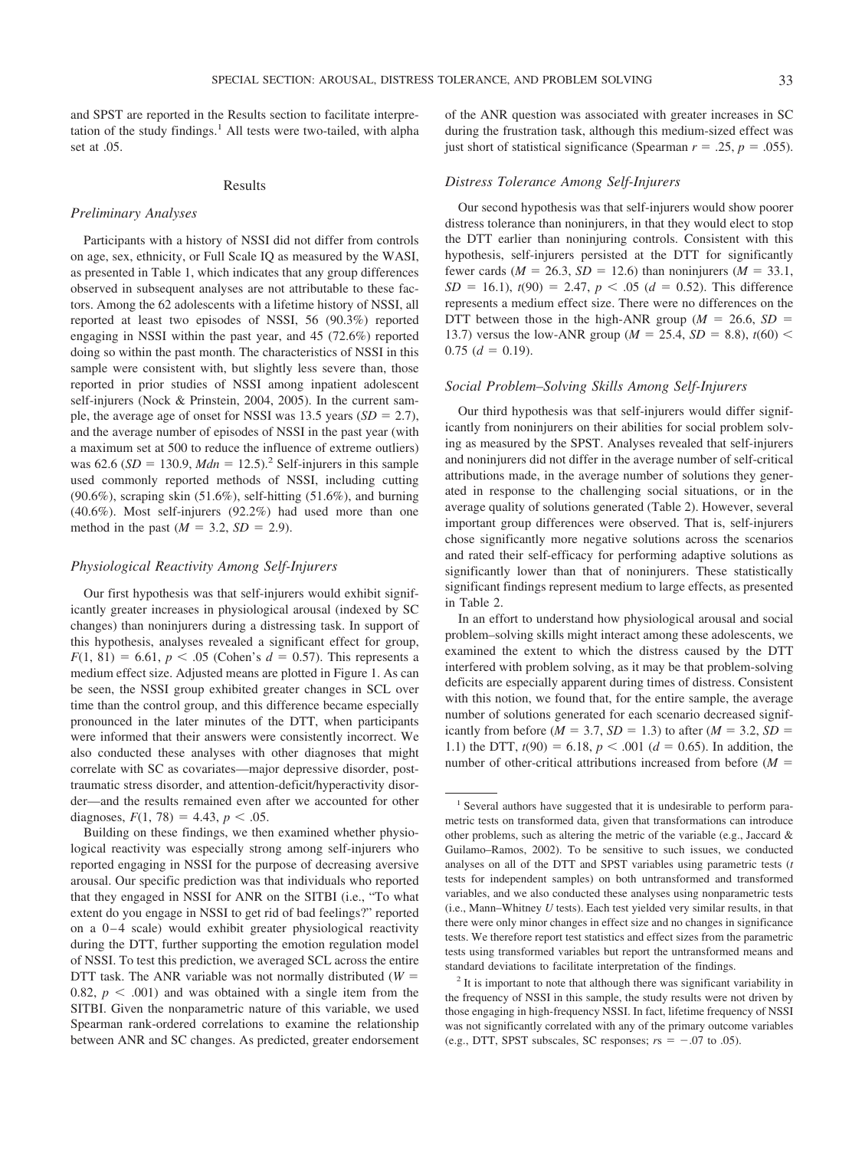and SPST are reported in the Results section to facilitate interpretation of the study findings. $<sup>1</sup>$  All tests were two-tailed, with alpha</sup> set at .05.

## Results

## *Preliminary Analyses*

Participants with a history of NSSI did not differ from controls on age, sex, ethnicity, or Full Scale IQ as measured by the WASI, as presented in Table 1, which indicates that any group differences observed in subsequent analyses are not attributable to these factors. Among the 62 adolescents with a lifetime history of NSSI, all reported at least two episodes of NSSI, 56 (90.3%) reported engaging in NSSI within the past year, and 45 (72.6%) reported doing so within the past month. The characteristics of NSSI in this sample were consistent with, but slightly less severe than, those reported in prior studies of NSSI among inpatient adolescent self-injurers (Nock & Prinstein, 2004, 2005). In the current sample, the average age of onset for NSSI was 13.5 years  $(SD = 2.7)$ , and the average number of episodes of NSSI in the past year (with a maximum set at 500 to reduce the influence of extreme outliers) was 62.6 ( $SD = 130.9$ ,  $Mdn = 12.5$ ).<sup>2</sup> Self-injurers in this sample used commonly reported methods of NSSI, including cutting  $(90.6\%)$ , scraping skin  $(51.6\%)$ , self-hitting  $(51.6\%)$ , and burning (40.6%). Most self-injurers (92.2%) had used more than one method in the past ( $M = 3.2$ ,  $SD = 2.9$ ).

# *Physiological Reactivity Among Self-Injurers*

Our first hypothesis was that self-injurers would exhibit significantly greater increases in physiological arousal (indexed by SC changes) than noninjurers during a distressing task. In support of this hypothesis, analyses revealed a significant effect for group,  $F(1, 81) = 6.61, p < .05$  (Cohen's  $d = 0.57$ ). This represents a medium effect size. Adjusted means are plotted in Figure 1. As can be seen, the NSSI group exhibited greater changes in SCL over time than the control group, and this difference became especially pronounced in the later minutes of the DTT, when participants were informed that their answers were consistently incorrect. We also conducted these analyses with other diagnoses that might correlate with SC as covariates—major depressive disorder, posttraumatic stress disorder, and attention-deficit/hyperactivity disorder—and the results remained even after we accounted for other diagnoses,  $F(1, 78) = 4.43$ ,  $p < .05$ .

Building on these findings, we then examined whether physiological reactivity was especially strong among self-injurers who reported engaging in NSSI for the purpose of decreasing aversive arousal. Our specific prediction was that individuals who reported that they engaged in NSSI for ANR on the SITBI (i.e., "To what extent do you engage in NSSI to get rid of bad feelings?" reported on a  $0-4$  scale) would exhibit greater physiological reactivity during the DTT, further supporting the emotion regulation model of NSSI. To test this prediction, we averaged SCL across the entire DTT task. The ANR variable was not normally distributed  $(W =$ 0.82,  $p < .001$ ) and was obtained with a single item from the SITBI. Given the nonparametric nature of this variable, we used Spearman rank-ordered correlations to examine the relationship between ANR and SC changes. As predicted, greater endorsement

of the ANR question was associated with greater increases in SC during the frustration task, although this medium-sized effect was just short of statistical significance (Spearman  $r = .25$ ,  $p = .055$ ).

# *Distress Tolerance Among Self-Injurers*

Our second hypothesis was that self-injurers would show poorer distress tolerance than noninjurers, in that they would elect to stop the DTT earlier than noninjuring controls. Consistent with this hypothesis, self-injurers persisted at the DTT for significantly fewer cards ( $M = 26.3$ ,  $SD = 12.6$ ) than noninjurers ( $M = 33.1$ ,  $SD = 16.1$ ,  $t(90) = 2.47$ ,  $p < .05$  ( $d = 0.52$ ). This difference represents a medium effect size. There were no differences on the DTT between those in the high-ANR group ( $M = 26.6$ ,  $SD =$ 13.7) versus the low-ANR group ( $M = 25.4$ ,  $SD = 8.8$ ),  $t(60)$  <  $0.75$  ( $d = 0.19$ ).

#### *Social Problem–Solving Skills Among Self-Injurers*

Our third hypothesis was that self-injurers would differ significantly from noninjurers on their abilities for social problem solving as measured by the SPST. Analyses revealed that self-injurers and noninjurers did not differ in the average number of self-critical attributions made, in the average number of solutions they generated in response to the challenging social situations, or in the average quality of solutions generated (Table 2). However, several important group differences were observed. That is, self-injurers chose significantly more negative solutions across the scenarios and rated their self-efficacy for performing adaptive solutions as significantly lower than that of noninjurers. These statistically significant findings represent medium to large effects, as presented in Table 2.

In an effort to understand how physiological arousal and social problem–solving skills might interact among these adolescents, we examined the extent to which the distress caused by the DTT interfered with problem solving, as it may be that problem-solving deficits are especially apparent during times of distress. Consistent with this notion, we found that, for the entire sample, the average number of solutions generated for each scenario decreased significantly from before ( $M = 3.7$ ,  $SD = 1.3$ ) to after ( $M = 3.2$ ,  $SD =$ 1.1) the DTT,  $t(90) = 6.18$ ,  $p < .001$  ( $d = 0.65$ ). In addition, the number of other-critical attributions increased from before (*M*

<sup>&</sup>lt;sup>1</sup> Several authors have suggested that it is undesirable to perform parametric tests on transformed data, given that transformations can introduce other problems, such as altering the metric of the variable (e.g., Jaccard & Guilamo–Ramos, 2002). To be sensitive to such issues, we conducted analyses on all of the DTT and SPST variables using parametric tests (*t* tests for independent samples) on both untransformed and transformed variables, and we also conducted these analyses using nonparametric tests (i.e., Mann–Whitney *U* tests). Each test yielded very similar results, in that there were only minor changes in effect size and no changes in significance tests. We therefore report test statistics and effect sizes from the parametric tests using transformed variables but report the untransformed means and standard deviations to facilitate interpretation of the findings.

<sup>&</sup>lt;sup>2</sup> It is important to note that although there was significant variability in the frequency of NSSI in this sample, the study results were not driven by those engaging in high-frequency NSSI. In fact, lifetime frequency of NSSI was not significantly correlated with any of the primary outcome variables (e.g., DTT, SPST subscales, SC responses;  $rs = -.07$  to .05).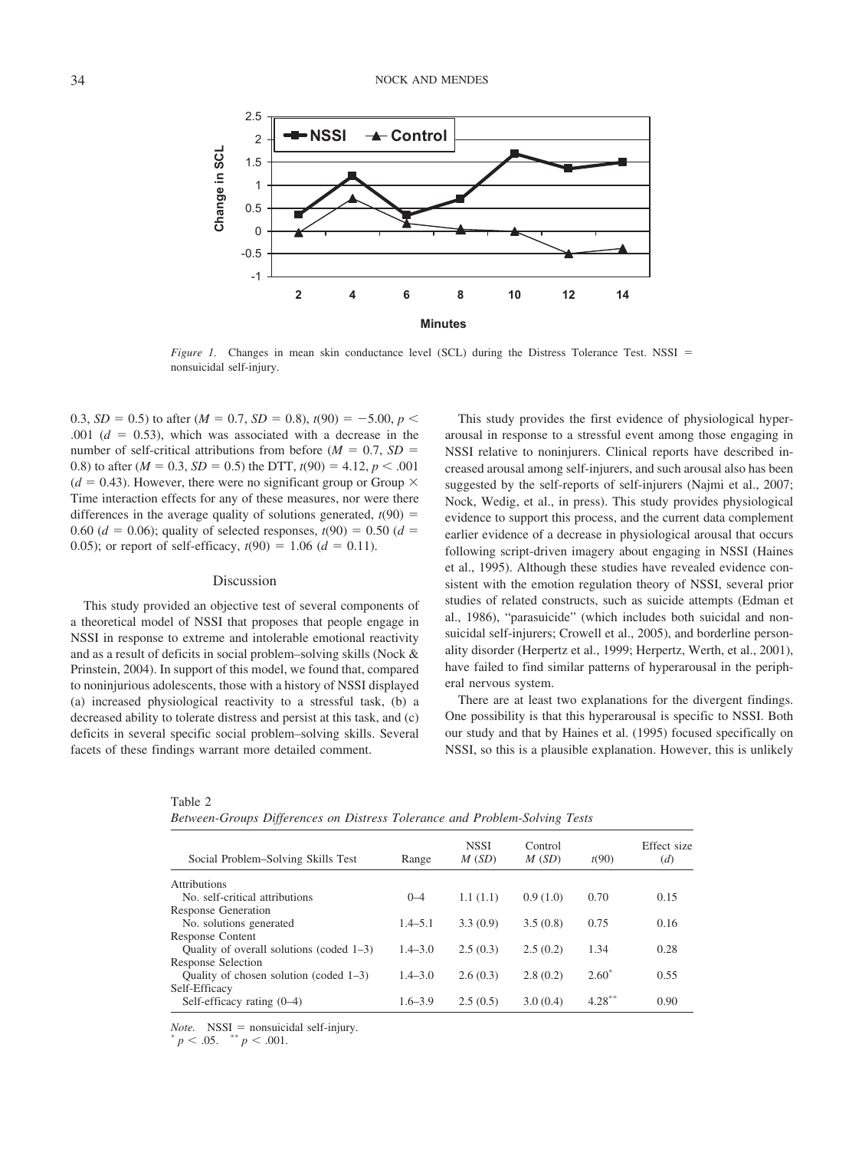

*Figure 1.* Changes in mean skin conductance level (SCL) during the Distress Tolerance Test. NSSI = nonsuicidal self-injury.

0.3,  $SD = 0.5$ ) to after  $(M = 0.7, SD = 0.8)$ ,  $t(90) = -5.00, p <$ .001  $(d = 0.53)$ , which was associated with a decrease in the number of self-critical attributions from before  $(M = 0.7, SD =$ 0.8) to after  $(M = 0.3, SD = 0.5)$  the DTT,  $t(90) = 4.12, p < .001$  $(d = 0.43)$ . However, there were no significant group or Group  $\times$ Time interaction effects for any of these measures, nor were there differences in the average quality of solutions generated,  $t(90)$  = 0.60 ( $d = 0.06$ ); quality of selected responses,  $t(90) = 0.50$  ( $d =$ 0.05); or report of self-efficacy,  $t(90) = 1.06$  ( $d = 0.11$ ).

### Discussion

This study provided an objective test of several components of a theoretical model of NSSI that proposes that people engage in NSSI in response to extreme and intolerable emotional reactivity and as a result of deficits in social problem–solving skills (Nock & Prinstein, 2004). In support of this model, we found that, compared to noninjurious adolescents, those with a history of NSSI displayed (a) increased physiological reactivity to a stressful task, (b) a decreased ability to tolerate distress and persist at this task, and (c) deficits in several specific social problem–solving skills. Several facets of these findings warrant more detailed comment.

This study provides the first evidence of physiological hyperarousal in response to a stressful event among those engaging in NSSI relative to noninjurers. Clinical reports have described increased arousal among self-injurers, and such arousal also has been suggested by the self-reports of self-injurers (Najmi et al., 2007; Nock, Wedig, et al., in press). This study provides physiological evidence to support this process, and the current data complement earlier evidence of a decrease in physiological arousal that occurs following script-driven imagery about engaging in NSSI (Haines et al., 1995). Although these studies have revealed evidence consistent with the emotion regulation theory of NSSI, several prior studies of related constructs, such as suicide attempts (Edman et al., 1986), "parasuicide" (which includes both suicidal and nonsuicidal self-injurers; Crowell et al., 2005), and borderline personality disorder (Herpertz et al., 1999; Herpertz, Werth, et al., 2001), have failed to find similar patterns of hyperarousal in the peripheral nervous system.

There are at least two explanations for the divergent findings. One possibility is that this hyperarousal is specific to NSSI. Both our study and that by Haines et al. (1995) focused specifically on NSSI, so this is a plausible explanation. However, this is unlikely

|--|--|--|--|--|

| Between-Groups Differences on Distress Tolerance and Problem-Solving Tests |  |  |  |  |
|----------------------------------------------------------------------------|--|--|--|--|
|                                                                            |  |  |  |  |

| Social Problem–Solving Skills Test          | Range       | <b>NSSI</b><br>M(SD) | Control<br>M(SD) | t(90)     | Effect size<br>(d) |
|---------------------------------------------|-------------|----------------------|------------------|-----------|--------------------|
| <b>Attributions</b>                         |             |                      |                  |           |                    |
| No. self-critical attributions              | $0 - 4$     | 1.1(1.1)             | 0.9(1.0)         | 0.70      | 0.15               |
| <b>Response Generation</b>                  |             |                      |                  |           |                    |
| No. solutions generated                     | $1.4 - 5.1$ | 3.3(0.9)             | 3.5(0.8)         | 0.75      | 0.16               |
| Response Content                            |             |                      |                  |           |                    |
| Quality of overall solutions (coded $1-3$ ) | $1.4 - 3.0$ | 2.5(0.3)             | 2.5(0.2)         | 1.34      | 0.28               |
| <b>Response Selection</b>                   |             |                      |                  |           |                    |
| Quality of chosen solution (coded $1-3$ )   | $1.4 - 3.0$ | 2.6(0.3)             | 2.8(0.2)         | $2.60*$   | 0.55               |
| Self-Efficacy                               |             |                      |                  |           |                    |
| Self-efficacy rating $(0-4)$                | $1.6 - 3.9$ | 2.5(0.5)             | 3.0(0.4)         | $4.28***$ | 0.90               |
|                                             |             |                      |                  |           |                    |

*Note.* NSSI = nonsuicidal self-injury.<br>\*  $p < .05$ . \*\*  $p < .001$ .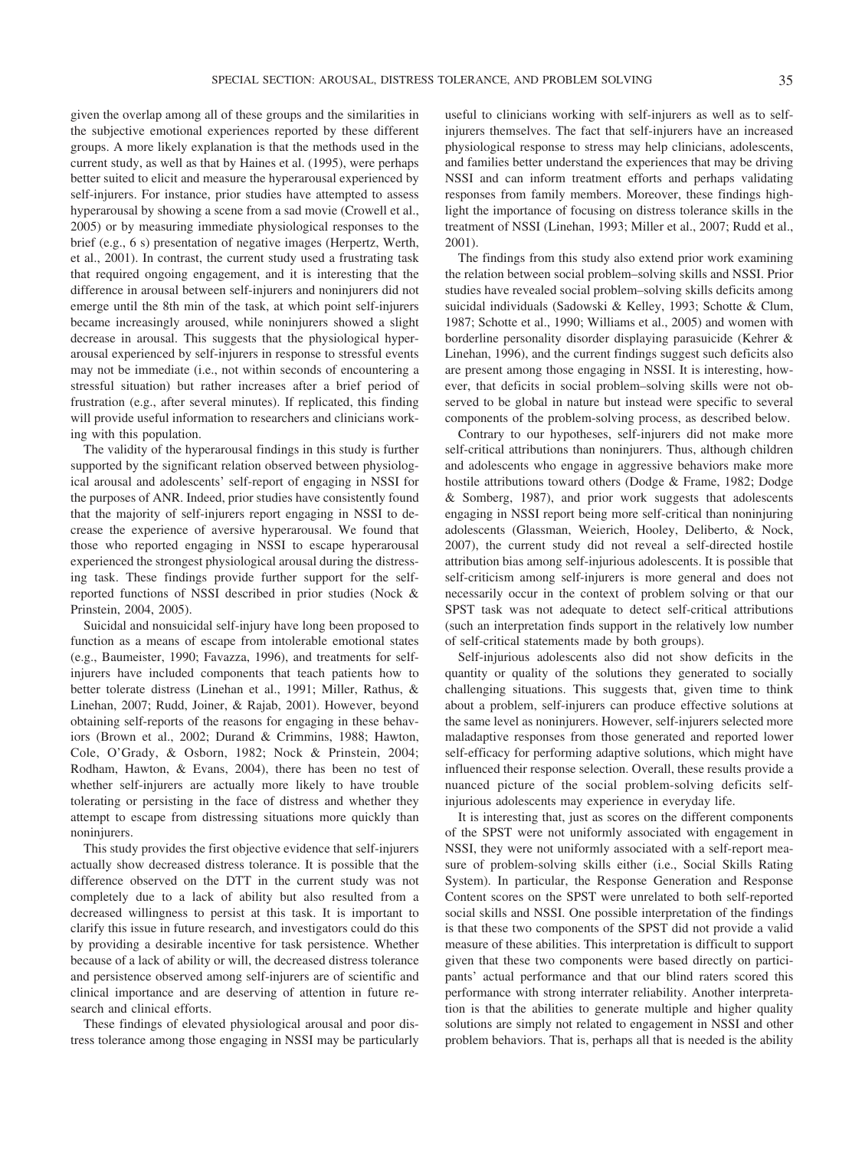given the overlap among all of these groups and the similarities in the subjective emotional experiences reported by these different groups. A more likely explanation is that the methods used in the current study, as well as that by Haines et al. (1995), were perhaps better suited to elicit and measure the hyperarousal experienced by self-injurers. For instance, prior studies have attempted to assess hyperarousal by showing a scene from a sad movie (Crowell et al., 2005) or by measuring immediate physiological responses to the brief (e.g., 6 s) presentation of negative images (Herpertz, Werth, et al., 2001). In contrast, the current study used a frustrating task that required ongoing engagement, and it is interesting that the difference in arousal between self-injurers and noninjurers did not emerge until the 8th min of the task, at which point self-injurers became increasingly aroused, while noninjurers showed a slight decrease in arousal. This suggests that the physiological hyperarousal experienced by self-injurers in response to stressful events may not be immediate (i.e., not within seconds of encountering a stressful situation) but rather increases after a brief period of frustration (e.g., after several minutes). If replicated, this finding will provide useful information to researchers and clinicians working with this population.

The validity of the hyperarousal findings in this study is further supported by the significant relation observed between physiological arousal and adolescents' self-report of engaging in NSSI for the purposes of ANR. Indeed, prior studies have consistently found that the majority of self-injurers report engaging in NSSI to decrease the experience of aversive hyperarousal. We found that those who reported engaging in NSSI to escape hyperarousal experienced the strongest physiological arousal during the distressing task. These findings provide further support for the selfreported functions of NSSI described in prior studies (Nock & Prinstein, 2004, 2005).

Suicidal and nonsuicidal self-injury have long been proposed to function as a means of escape from intolerable emotional states (e.g., Baumeister, 1990; Favazza, 1996), and treatments for selfinjurers have included components that teach patients how to better tolerate distress (Linehan et al., 1991; Miller, Rathus, & Linehan, 2007; Rudd, Joiner, & Rajab, 2001). However, beyond obtaining self-reports of the reasons for engaging in these behaviors (Brown et al., 2002; Durand & Crimmins, 1988; Hawton, Cole, O'Grady, & Osborn, 1982; Nock & Prinstein, 2004; Rodham, Hawton, & Evans, 2004), there has been no test of whether self-injurers are actually more likely to have trouble tolerating or persisting in the face of distress and whether they attempt to escape from distressing situations more quickly than noninjurers.

This study provides the first objective evidence that self-injurers actually show decreased distress tolerance. It is possible that the difference observed on the DTT in the current study was not completely due to a lack of ability but also resulted from a decreased willingness to persist at this task. It is important to clarify this issue in future research, and investigators could do this by providing a desirable incentive for task persistence. Whether because of a lack of ability or will, the decreased distress tolerance and persistence observed among self-injurers are of scientific and clinical importance and are deserving of attention in future research and clinical efforts.

These findings of elevated physiological arousal and poor distress tolerance among those engaging in NSSI may be particularly useful to clinicians working with self-injurers as well as to selfinjurers themselves. The fact that self-injurers have an increased physiological response to stress may help clinicians, adolescents, and families better understand the experiences that may be driving NSSI and can inform treatment efforts and perhaps validating responses from family members. Moreover, these findings highlight the importance of focusing on distress tolerance skills in the treatment of NSSI (Linehan, 1993; Miller et al., 2007; Rudd et al., 2001).

The findings from this study also extend prior work examining the relation between social problem–solving skills and NSSI. Prior studies have revealed social problem–solving skills deficits among suicidal individuals (Sadowski & Kelley, 1993; Schotte & Clum, 1987; Schotte et al., 1990; Williams et al., 2005) and women with borderline personality disorder displaying parasuicide (Kehrer & Linehan, 1996), and the current findings suggest such deficits also are present among those engaging in NSSI. It is interesting, however, that deficits in social problem–solving skills were not observed to be global in nature but instead were specific to several components of the problem-solving process, as described below.

Contrary to our hypotheses, self-injurers did not make more self-critical attributions than noninjurers. Thus, although children and adolescents who engage in aggressive behaviors make more hostile attributions toward others (Dodge & Frame, 1982; Dodge & Somberg, 1987), and prior work suggests that adolescents engaging in NSSI report being more self-critical than noninjuring adolescents (Glassman, Weierich, Hooley, Deliberto, & Nock, 2007), the current study did not reveal a self-directed hostile attribution bias among self-injurious adolescents. It is possible that self-criticism among self-injurers is more general and does not necessarily occur in the context of problem solving or that our SPST task was not adequate to detect self-critical attributions (such an interpretation finds support in the relatively low number of self-critical statements made by both groups).

Self-injurious adolescents also did not show deficits in the quantity or quality of the solutions they generated to socially challenging situations. This suggests that, given time to think about a problem, self-injurers can produce effective solutions at the same level as noninjurers. However, self-injurers selected more maladaptive responses from those generated and reported lower self-efficacy for performing adaptive solutions, which might have influenced their response selection. Overall, these results provide a nuanced picture of the social problem-solving deficits selfinjurious adolescents may experience in everyday life.

It is interesting that, just as scores on the different components of the SPST were not uniformly associated with engagement in NSSI, they were not uniformly associated with a self-report measure of problem-solving skills either (i.e., Social Skills Rating System). In particular, the Response Generation and Response Content scores on the SPST were unrelated to both self-reported social skills and NSSI. One possible interpretation of the findings is that these two components of the SPST did not provide a valid measure of these abilities. This interpretation is difficult to support given that these two components were based directly on participants' actual performance and that our blind raters scored this performance with strong interrater reliability. Another interpretation is that the abilities to generate multiple and higher quality solutions are simply not related to engagement in NSSI and other problem behaviors. That is, perhaps all that is needed is the ability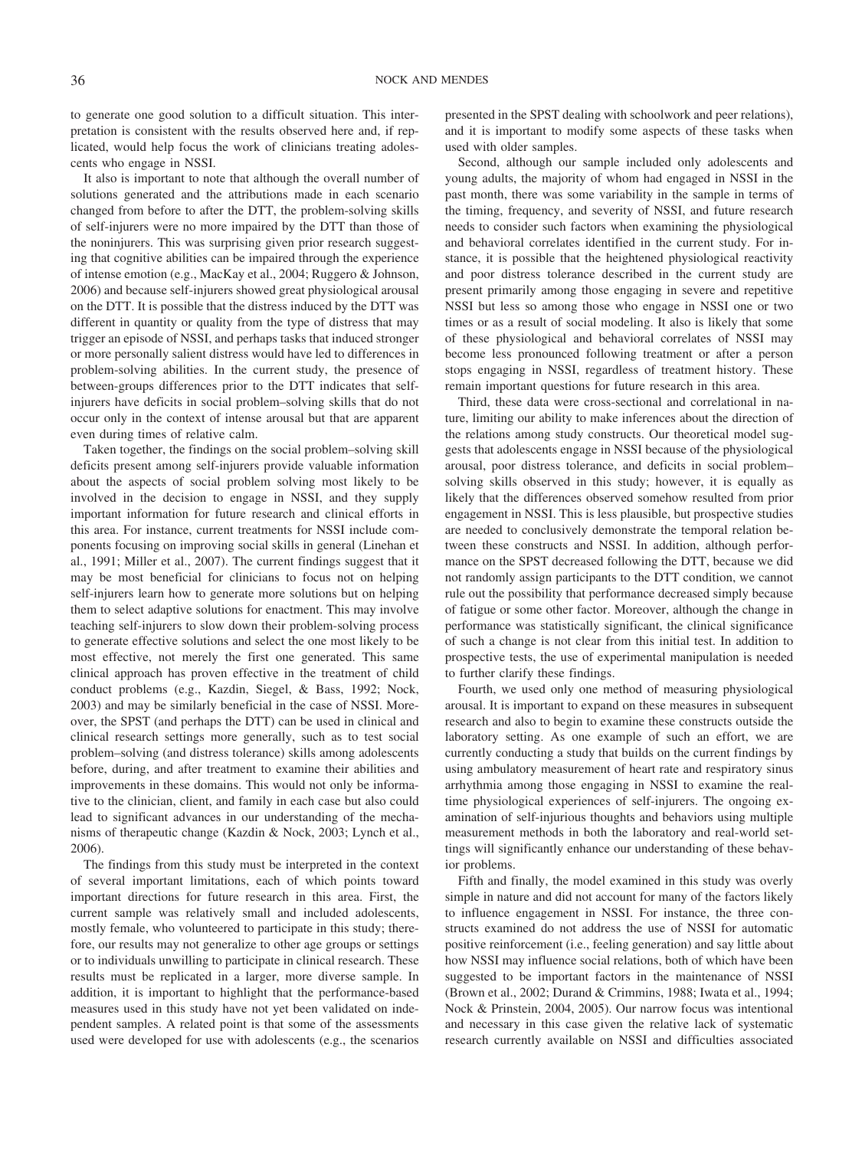to generate one good solution to a difficult situation. This interpretation is consistent with the results observed here and, if replicated, would help focus the work of clinicians treating adolescents who engage in NSSI.

It also is important to note that although the overall number of solutions generated and the attributions made in each scenario changed from before to after the DTT, the problem-solving skills of self-injurers were no more impaired by the DTT than those of the noninjurers. This was surprising given prior research suggesting that cognitive abilities can be impaired through the experience of intense emotion (e.g., MacKay et al., 2004; Ruggero & Johnson, 2006) and because self-injurers showed great physiological arousal on the DTT. It is possible that the distress induced by the DTT was different in quantity or quality from the type of distress that may trigger an episode of NSSI, and perhaps tasks that induced stronger or more personally salient distress would have led to differences in problem-solving abilities. In the current study, the presence of between-groups differences prior to the DTT indicates that selfinjurers have deficits in social problem–solving skills that do not occur only in the context of intense arousal but that are apparent even during times of relative calm.

Taken together, the findings on the social problem–solving skill deficits present among self-injurers provide valuable information about the aspects of social problem solving most likely to be involved in the decision to engage in NSSI, and they supply important information for future research and clinical efforts in this area. For instance, current treatments for NSSI include components focusing on improving social skills in general (Linehan et al., 1991; Miller et al., 2007). The current findings suggest that it may be most beneficial for clinicians to focus not on helping self-injurers learn how to generate more solutions but on helping them to select adaptive solutions for enactment. This may involve teaching self-injurers to slow down their problem-solving process to generate effective solutions and select the one most likely to be most effective, not merely the first one generated. This same clinical approach has proven effective in the treatment of child conduct problems (e.g., Kazdin, Siegel, & Bass, 1992; Nock, 2003) and may be similarly beneficial in the case of NSSI. Moreover, the SPST (and perhaps the DTT) can be used in clinical and clinical research settings more generally, such as to test social problem–solving (and distress tolerance) skills among adolescents before, during, and after treatment to examine their abilities and improvements in these domains. This would not only be informative to the clinician, client, and family in each case but also could lead to significant advances in our understanding of the mechanisms of therapeutic change (Kazdin & Nock, 2003; Lynch et al., 2006).

The findings from this study must be interpreted in the context of several important limitations, each of which points toward important directions for future research in this area. First, the current sample was relatively small and included adolescents, mostly female, who volunteered to participate in this study; therefore, our results may not generalize to other age groups or settings or to individuals unwilling to participate in clinical research. These results must be replicated in a larger, more diverse sample. In addition, it is important to highlight that the performance-based measures used in this study have not yet been validated on independent samples. A related point is that some of the assessments used were developed for use with adolescents (e.g., the scenarios

presented in the SPST dealing with schoolwork and peer relations), and it is important to modify some aspects of these tasks when used with older samples.

Second, although our sample included only adolescents and young adults, the majority of whom had engaged in NSSI in the past month, there was some variability in the sample in terms of the timing, frequency, and severity of NSSI, and future research needs to consider such factors when examining the physiological and behavioral correlates identified in the current study. For instance, it is possible that the heightened physiological reactivity and poor distress tolerance described in the current study are present primarily among those engaging in severe and repetitive NSSI but less so among those who engage in NSSI one or two times or as a result of social modeling. It also is likely that some of these physiological and behavioral correlates of NSSI may become less pronounced following treatment or after a person stops engaging in NSSI, regardless of treatment history. These remain important questions for future research in this area.

Third, these data were cross-sectional and correlational in nature, limiting our ability to make inferences about the direction of the relations among study constructs. Our theoretical model suggests that adolescents engage in NSSI because of the physiological arousal, poor distress tolerance, and deficits in social problem– solving skills observed in this study; however, it is equally as likely that the differences observed somehow resulted from prior engagement in NSSI. This is less plausible, but prospective studies are needed to conclusively demonstrate the temporal relation between these constructs and NSSI. In addition, although performance on the SPST decreased following the DTT, because we did not randomly assign participants to the DTT condition, we cannot rule out the possibility that performance decreased simply because of fatigue or some other factor. Moreover, although the change in performance was statistically significant, the clinical significance of such a change is not clear from this initial test. In addition to prospective tests, the use of experimental manipulation is needed to further clarify these findings.

Fourth, we used only one method of measuring physiological arousal. It is important to expand on these measures in subsequent research and also to begin to examine these constructs outside the laboratory setting. As one example of such an effort, we are currently conducting a study that builds on the current findings by using ambulatory measurement of heart rate and respiratory sinus arrhythmia among those engaging in NSSI to examine the realtime physiological experiences of self-injurers. The ongoing examination of self-injurious thoughts and behaviors using multiple measurement methods in both the laboratory and real-world settings will significantly enhance our understanding of these behavior problems.

Fifth and finally, the model examined in this study was overly simple in nature and did not account for many of the factors likely to influence engagement in NSSI. For instance, the three constructs examined do not address the use of NSSI for automatic positive reinforcement (i.e., feeling generation) and say little about how NSSI may influence social relations, both of which have been suggested to be important factors in the maintenance of NSSI (Brown et al., 2002; Durand & Crimmins, 1988; Iwata et al., 1994; Nock & Prinstein, 2004, 2005). Our narrow focus was intentional and necessary in this case given the relative lack of systematic research currently available on NSSI and difficulties associated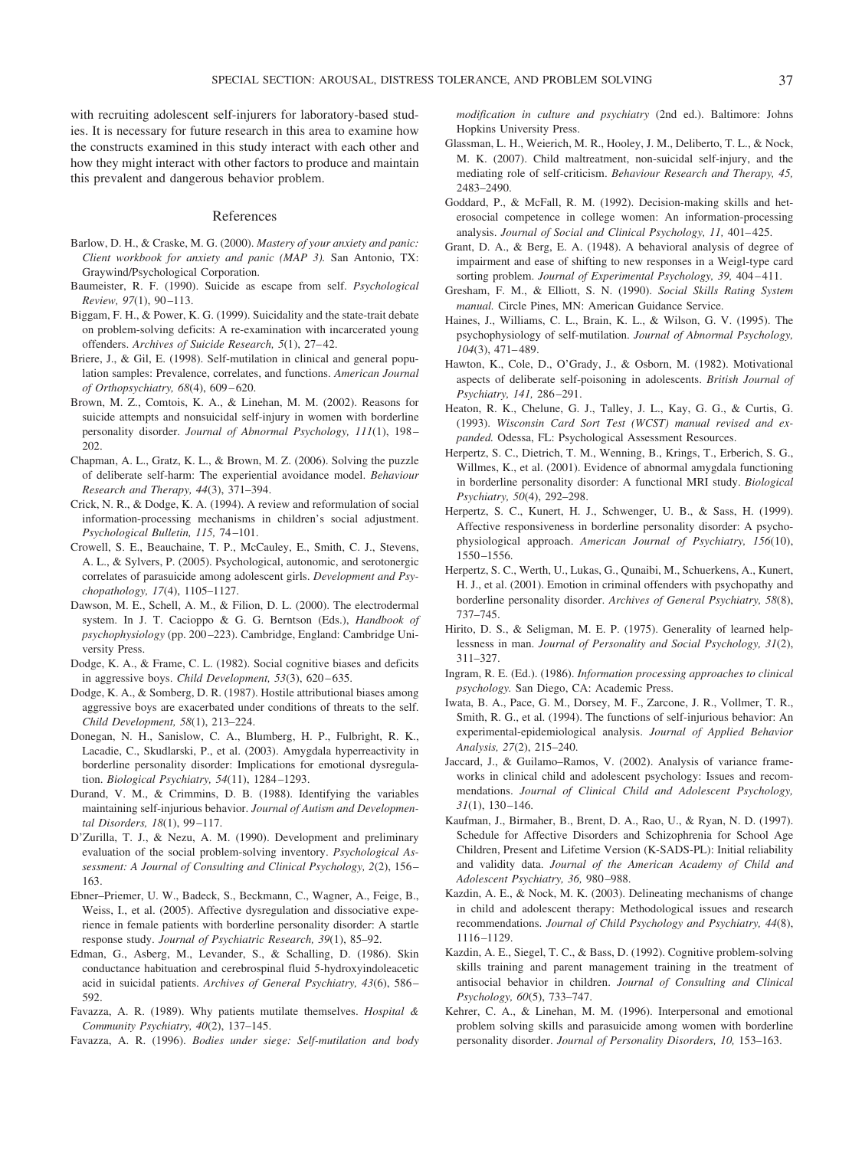with recruiting adolescent self-injurers for laboratory-based studies. It is necessary for future research in this area to examine how the constructs examined in this study interact with each other and how they might interact with other factors to produce and maintain this prevalent and dangerous behavior problem.

#### References

- Barlow, D. H., & Craske, M. G. (2000). *Mastery of your anxiety and panic: Client workbook for anxiety and panic (MAP 3).* San Antonio, TX: Graywind/Psychological Corporation.
- Baumeister, R. F. (1990). Suicide as escape from self. *Psychological Review, 97*(1), 90 –113.
- Biggam, F. H., & Power, K. G. (1999). Suicidality and the state-trait debate on problem-solving deficits: A re-examination with incarcerated young offenders. Archives of Suicide Research, 5(1), 27-42.
- Briere, J., & Gil, E. (1998). Self-mutilation in clinical and general population samples: Prevalence, correlates, and functions. *American Journal of Orthopsychiatry, 68*(4), 609 – 620.
- Brown, M. Z., Comtois, K. A., & Linehan, M. M. (2002). Reasons for suicide attempts and nonsuicidal self-injury in women with borderline personality disorder. *Journal of Abnormal Psychology, 111*(1), 198 – 202.
- Chapman, A. L., Gratz, K. L., & Brown, M. Z. (2006). Solving the puzzle of deliberate self-harm: The experiential avoidance model. *Behaviour Research and Therapy, 44*(3), 371–394.
- Crick, N. R., & Dodge, K. A. (1994). A review and reformulation of social information-processing mechanisms in children's social adjustment. *Psychological Bulletin, 115,* 74 –101.
- Crowell, S. E., Beauchaine, T. P., McCauley, E., Smith, C. J., Stevens, A. L., & Sylvers, P. (2005). Psychological, autonomic, and serotonergic correlates of parasuicide among adolescent girls. *Development and Psychopathology, 17*(4), 1105–1127.
- Dawson, M. E., Schell, A. M., & Filion, D. L. (2000). The electrodermal system. In J. T. Cacioppo & G. G. Berntson (Eds.), *Handbook of psychophysiology* (pp. 200 –223). Cambridge, England: Cambridge University Press.
- Dodge, K. A., & Frame, C. L. (1982). Social cognitive biases and deficits in aggressive boys. *Child Development*, 53(3), 620–635.
- Dodge, K. A., & Somberg, D. R. (1987). Hostile attributional biases among aggressive boys are exacerbated under conditions of threats to the self. *Child Development, 58*(1), 213–224.
- Donegan, N. H., Sanislow, C. A., Blumberg, H. P., Fulbright, R. K., Lacadie, C., Skudlarski, P., et al. (2003). Amygdala hyperreactivity in borderline personality disorder: Implications for emotional dysregulation. *Biological Psychiatry, 54*(11), 1284 –1293.
- Durand, V. M., & Crimmins, D. B. (1988). Identifying the variables maintaining self-injurious behavior. *Journal of Autism and Developmental Disorders, 18*(1), 99 –117.
- D'Zurilla, T. J., & Nezu, A. M. (1990). Development and preliminary evaluation of the social problem-solving inventory. *Psychological Assessment: A Journal of Consulting and Clinical Psychology, 2*(2), 156 – 163.
- Ebner–Priemer, U. W., Badeck, S., Beckmann, C., Wagner, A., Feige, B., Weiss, I., et al. (2005). Affective dysregulation and dissociative experience in female patients with borderline personality disorder: A startle response study. *Journal of Psychiatric Research, 39*(1), 85–92.
- Edman, G., Asberg, M., Levander, S., & Schalling, D. (1986). Skin conductance habituation and cerebrospinal fluid 5-hydroxyindoleacetic acid in suicidal patients. *Archives of General Psychiatry, 43*(6), 586 – 592.
- Favazza, A. R. (1989). Why patients mutilate themselves. *Hospital & Community Psychiatry, 40*(2), 137–145.
- Favazza, A. R. (1996). *Bodies under siege: Self-mutilation and body*

*modification in culture and psychiatry* (2nd ed.). Baltimore: Johns Hopkins University Press.

- Glassman, L. H., Weierich, M. R., Hooley, J. M., Deliberto, T. L., & Nock, M. K. (2007). Child maltreatment, non-suicidal self-injury, and the mediating role of self-criticism. *Behaviour Research and Therapy, 45,* 2483–2490.
- Goddard, P., & McFall, R. M. (1992). Decision-making skills and heterosocial competence in college women: An information-processing analysis. *Journal of Social and Clinical Psychology, 11, 401-425.*
- Grant, D. A., & Berg, E. A. (1948). A behavioral analysis of degree of impairment and ease of shifting to new responses in a Weigl-type card sorting problem. *Journal of Experimental Psychology, 39, 404–411*.
- Gresham, F. M., & Elliott, S. N. (1990). *Social Skills Rating System manual.* Circle Pines, MN: American Guidance Service.
- Haines, J., Williams, C. L., Brain, K. L., & Wilson, G. V. (1995). The psychophysiology of self-mutilation. *Journal of Abnormal Psychology, 104*(3), 471– 489.
- Hawton, K., Cole, D., O'Grady, J., & Osborn, M. (1982). Motivational aspects of deliberate self-poisoning in adolescents. *British Journal of Psychiatry, 141,* 286 –291.
- Heaton, R. K., Chelune, G. J., Talley, J. L., Kay, G. G., & Curtis, G. (1993). *Wisconsin Card Sort Test (WCST) manual revised and expanded.* Odessa, FL: Psychological Assessment Resources.
- Herpertz, S. C., Dietrich, T. M., Wenning, B., Krings, T., Erberich, S. G., Willmes, K., et al. (2001). Evidence of abnormal amygdala functioning in borderline personality disorder: A functional MRI study. *Biological Psychiatry, 50*(4), 292–298.
- Herpertz, S. C., Kunert, H. J., Schwenger, U. B., & Sass, H. (1999). Affective responsiveness in borderline personality disorder: A psychophysiological approach. *American Journal of Psychiatry, 156*(10), 1550 –1556.
- Herpertz, S. C., Werth, U., Lukas, G., Qunaibi, M., Schuerkens, A., Kunert, H. J., et al. (2001). Emotion in criminal offenders with psychopathy and borderline personality disorder. *Archives of General Psychiatry, 58*(8), 737–745.
- Hirito, D. S., & Seligman, M. E. P. (1975). Generality of learned helplessness in man. *Journal of Personality and Social Psychology, 31*(2), 311–327.
- Ingram, R. E. (Ed.). (1986). *Information processing approaches to clinical psychology.* San Diego, CA: Academic Press.
- Iwata, B. A., Pace, G. M., Dorsey, M. F., Zarcone, J. R., Vollmer, T. R., Smith, R. G., et al. (1994). The functions of self-injurious behavior: An experimental-epidemiological analysis. *Journal of Applied Behavior Analysis, 27*(2), 215–240.
- Jaccard, J., & Guilamo–Ramos, V. (2002). Analysis of variance frameworks in clinical child and adolescent psychology: Issues and recommendations. *Journal of Clinical Child and Adolescent Psychology, 31*(1), 130 –146.
- Kaufman, J., Birmaher, B., Brent, D. A., Rao, U., & Ryan, N. D. (1997). Schedule for Affective Disorders and Schizophrenia for School Age Children, Present and Lifetime Version (K-SADS-PL): Initial reliability and validity data. *Journal of the American Academy of Child and Adolescent Psychiatry, 36,* 980 –988.
- Kazdin, A. E., & Nock, M. K. (2003). Delineating mechanisms of change in child and adolescent therapy: Methodological issues and research recommendations. *Journal of Child Psychology and Psychiatry, 44*(8), 1116 –1129.
- Kazdin, A. E., Siegel, T. C., & Bass, D. (1992). Cognitive problem-solving skills training and parent management training in the treatment of antisocial behavior in children. *Journal of Consulting and Clinical Psychology, 60*(5), 733–747.
- Kehrer, C. A., & Linehan, M. M. (1996). Interpersonal and emotional problem solving skills and parasuicide among women with borderline personality disorder. *Journal of Personality Disorders, 10,* 153–163.